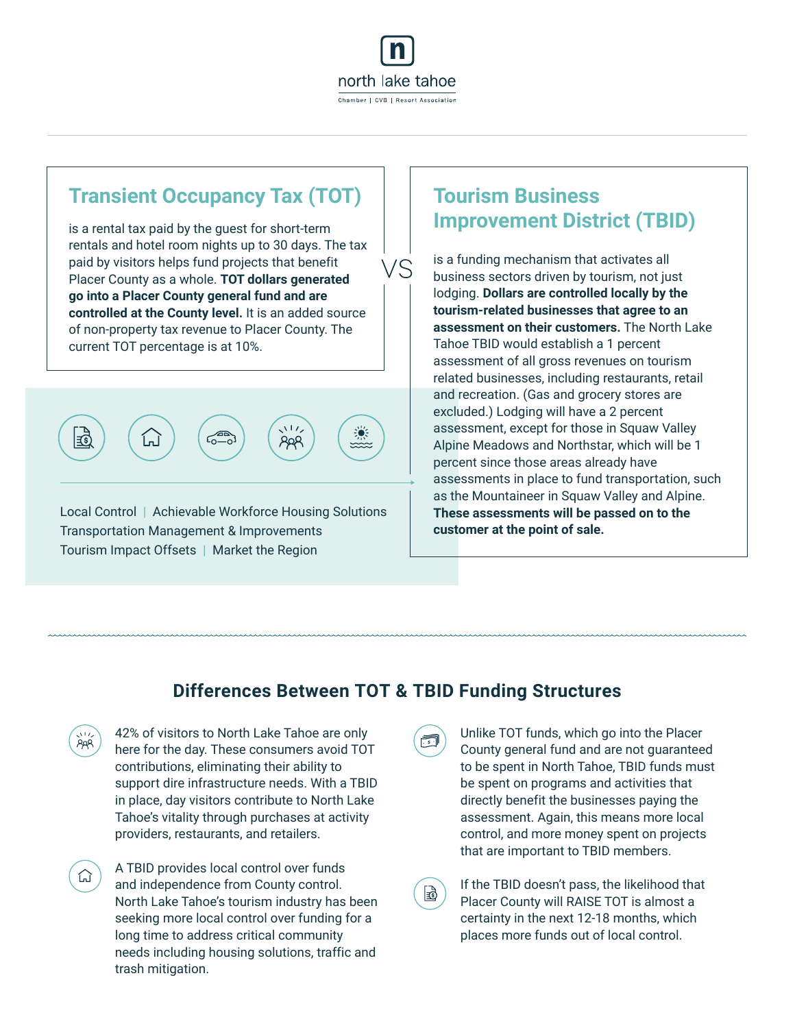

VS

### **Transient Occupancy Tax (TOT)**

is a rental tax paid by the guest for short-term rentals and hotel room nights up to 30 days. The tax paid by visitors helps fund projects that benefit Placer County as a whole. **TOT dollars generated go into a Placer County general fund and are controlled at the County level.** It is an added source of non-property tax revenue to Placer County. The current TOT percentage is at 10%.



Local Control | Achievable Workforce Housing Solutions Transportation Management & Improvements Tourism Impact Offsets | Market the Region

### **Tourism Business Improvement District (TBID)**

is a funding mechanism that activates all business sectors driven by tourism, not just lodging. **Dollars are controlled locally by the tourism-related businesses that agree to an assessment on their customers.** The North Lake Tahoe TBID would establish a 1 percent assessment of all gross revenues on tourism related businesses, including restaurants, retail and recreation. (Gas and grocery stores are excluded.) Lodging will have a 2 percent assessment, except for those in Squaw Valley Alpine Meadows and Northstar, which will be 1 percent since those areas already have assessments in place to fund transportation, such as the Mountaineer in Squaw Valley and Alpine. **These assessments will be passed on to the customer at the point of sale.**

#### **Differences Between TOT & TBID Funding Structures**

國

| 深 | 42% of visitors to North Lake Tahoe are only    |
|---|-------------------------------------------------|
|   | here for the day. These consumers avoid TOT     |
|   | contributions, eliminating their ability to     |
|   | support dire infrastructure needs. With a TBID  |
|   | in place, day visitors contribute to North Lake |
|   | Tahoe's vitality through purchases at activity  |
|   | providers, restaurants, and retailers.          |

⊙

A TBID provides local control over funds and independence from County control. North Lake Tahoe's tourism industry has been seeking more local control over funding for a long time to address critical community needs including housing solutions, traffic and trash mitigation.

Unlike TOT funds, which go into the Placer County general fund and are not guaranteed to be spent in North Tahoe, TBID funds must be spent on programs and activities that directly benefit the businesses paying the assessment. Again, this means more local control, and more money spent on projects that are important to TBID members.

If the TBID doesn't pass, the likelihood that Placer County will RAISE TOT is almost a certainty in the next 12-18 months, which places more funds out of local control.